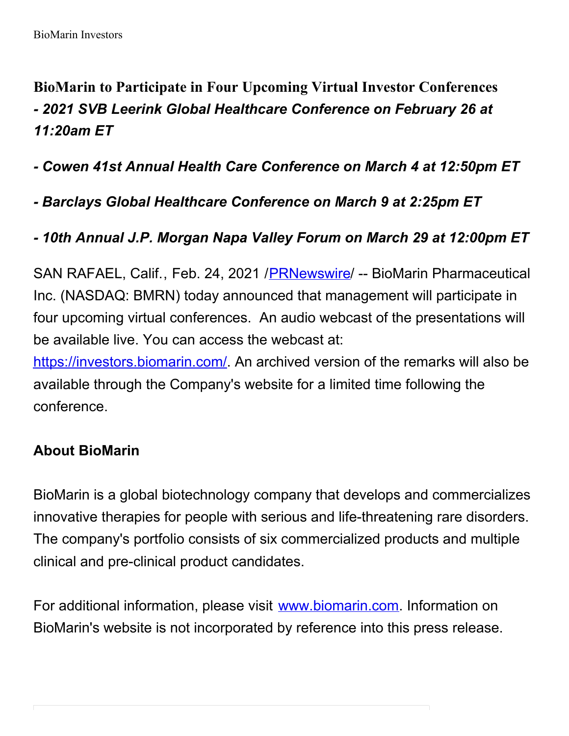**BioMarin to Participate in Four Upcoming Virtual Investor Conferences** *- 2021 SVB Leerink Global Healthcare Conference on February 26 at 11:20am ET*

*- Cowen 41st Annual Health Care Conference on March 4 at 12:50pm ET*

*- Barclays Global Healthcare Conference on March 9 at 2:25pm ET*

## *- 10th Annual J.P. Morgan Napa Valley Forum on March 29 at 12:00pm ET*

SAN RAFAEL, Calif., Feb. 24, 2021 /[PRNewswire](http://www.prnewswire.com/)/ -- BioMarin Pharmaceutical Inc. (NASDAQ: BMRN) today announced that management will participate in four upcoming virtual conferences. An audio webcast of the presentations will be available live. You can access the webcast at:

[https://investors.biomarin.com/](https://c212.net/c/link/?t=0&l=en&o=3075065-1&h=2840117304&u=https%3A%2F%2Finvestors.biomarin.com%2F&a=https%3A%2F%2Finvestors.biomarin.com%2F). An archived version of the remarks will also be available through the Company's website for a limited time following the conference.

## **About BioMarin**

BioMarin is a global biotechnology company that develops and commercializes innovative therapies for people with serious and life-threatening rare disorders. The company's portfolio consists of six commercialized products and multiple clinical and pre-clinical product candidates.

For additional information, please visit [www.biomarin.com](https://c212.net/c/link/?t=0&l=en&o=3075065-1&h=358758126&u=http%3A%2F%2Fwww.biomarin.com%2F&a=www.biomarin.com). Information on BioMarin's website is not incorporated by reference into this press release.